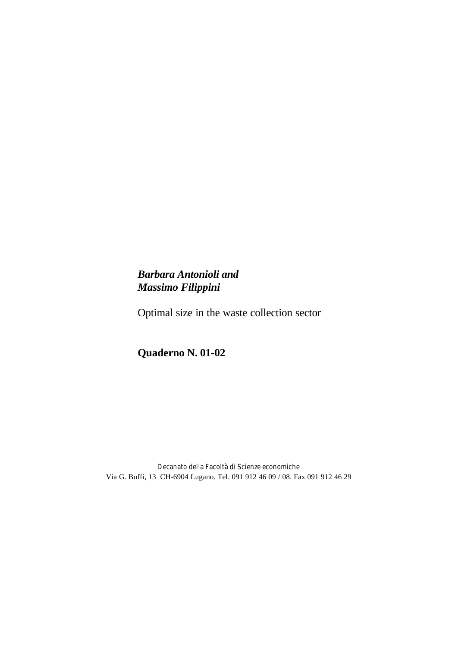*Barbara Antonioli and Massimo Filippini*

Optimal size in the waste collection sector

**Quaderno N. 01-02**

Decanato della Facoltà di Scienze economiche Via G. Buffi, 13 CH-6904 Lugano. Tel. 091 912 46 09 / 08. Fax 091 912 46 29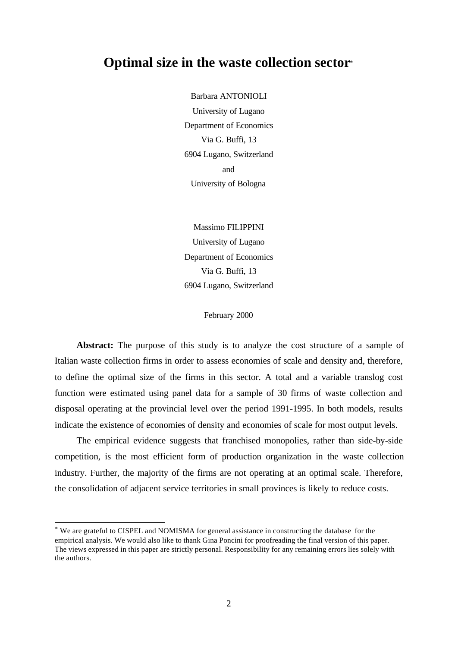# **Optimal size in the waste collection sector**\*

Barbara ANTONIOLI University of Lugano Department of Economics Via G. Buffi, 13 6904 Lugano, Switzerland and University of Bologna

Massimo FILIPPINI University of Lugano Department of Economics Via G. Buffi, 13 6904 Lugano, Switzerland

February 2000

**Abstract:** The purpose of this study is to analyze the cost structure of a sample of Italian waste collection firms in order to assess economies of scale and density and, therefore, to define the optimal size of the firms in this sector. A total and a variable translog cost function were estimated using panel data for a sample of 30 firms of waste collection and disposal operating at the provincial level over the period 1991-1995. In both models, results indicate the existence of economies of density and economies of scale for most output levels.

The empirical evidence suggests that franchised monopolies, rather than side-by-side competition, is the most efficient form of production organization in the waste collection industry. Further, the majority of the firms are not operating at an optimal scale. Therefore, the consolidation of adjacent service territories in small provinces is likely to reduce costs.

l

<sup>\*</sup> We are grateful to CISPEL and NOMISMA for general assistance in constructing the database for the empirical analysis. We would also like to thank Gina Poncini for proofreading the final version of this paper. The views expressed in this paper are strictly personal. Responsibility for any remaining errors lies solely with the authors.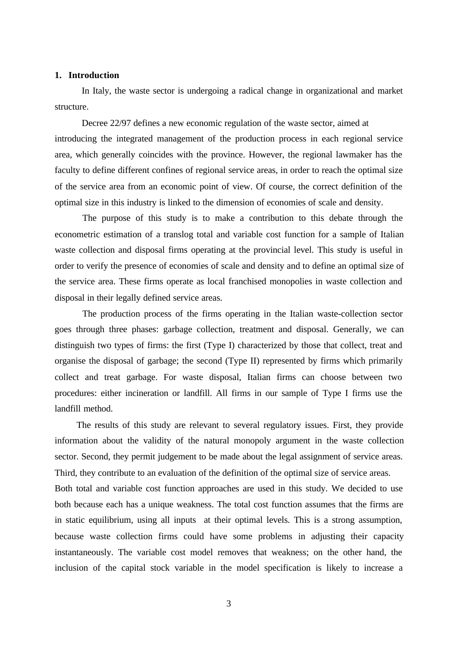# **1. Introduction**

In Italy, the waste sector is undergoing a radical change in organizational and market structure.

Decree 22/97 defines a new economic regulation of the waste sector, aimed at introducing the integrated management of the production process in each regional service area, which generally coincides with the province. However, the regional lawmaker has the faculty to define different confines of regional service areas, in order to reach the optimal size of the service area from an economic point of view. Of course, the correct definition of the optimal size in this industry is linked to the dimension of economies of scale and density.

The purpose of this study is to make a contribution to this debate through the econometric estimation of a translog total and variable cost function for a sample of Italian waste collection and disposal firms operating at the provincial level. This study is useful in order to verify the presence of economies of scale and density and to define an optimal size of the service area. These firms operate as local franchised monopolies in waste collection and disposal in their legally defined service areas.

The production process of the firms operating in the Italian waste-collection sector goes through three phases: garbage collection, treatment and disposal. Generally, we can distinguish two types of firms: the first (Type I) characterized by those that collect, treat and organise the disposal of garbage; the second (Type II) represented by firms which primarily collect and treat garbage. For waste disposal, Italian firms can choose between two procedures: either incineration or landfill. All firms in our sample of Type I firms use the landfill method.

The results of this study are relevant to several regulatory issues. First, they provide information about the validity of the natural monopoly argument in the waste collection sector. Second, they permit judgement to be made about the legal assignment of service areas. Third, they contribute to an evaluation of the definition of the optimal size of service areas. Both total and variable cost function approaches are used in this study. We decided to use both because each has a unique weakness. The total cost function assumes that the firms are in static equilibrium, using all inputs at their optimal levels. This is a strong assumption, because waste collection firms could have some problems in adjusting their capacity instantaneously. The variable cost model removes that weakness; on the other hand, the inclusion of the capital stock variable in the model specification is likely to increase a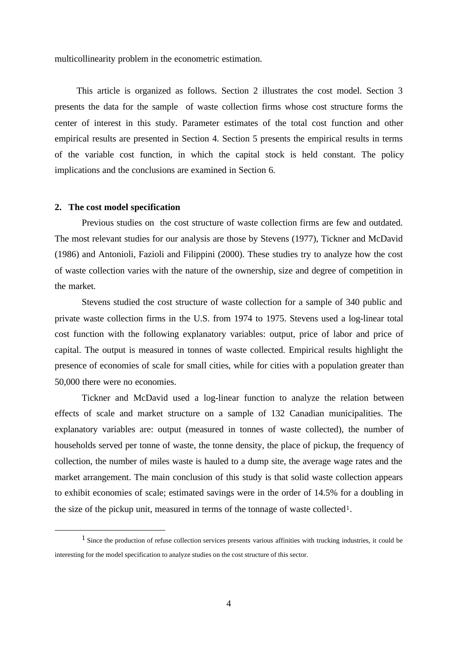multicollinearity problem in the econometric estimation.

This article is organized as follows. Section 2 illustrates the cost model. Section 3 presents the data for the sample of waste collection firms whose cost structure forms the center of interest in this study. Parameter estimates of the total cost function and other empirical results are presented in Section 4. Section 5 presents the empirical results in terms of the variable cost function, in which the capital stock is held constant. The policy implications and the conclusions are examined in Section 6.

# **2. The cost model specification**

l

Previous studies on the cost structure of waste collection firms are few and outdated. The most relevant studies for our analysis are those by Stevens (1977), Tickner and McDavid (1986) and Antonioli, Fazioli and Filippini (2000). These studies try to analyze how the cost of waste collection varies with the nature of the ownership, size and degree of competition in the market.

Stevens studied the cost structure of waste collection for a sample of 340 public and private waste collection firms in the U.S. from 1974 to 1975. Stevens used a log-linear total cost function with the following explanatory variables: output, price of labor and price of capital. The output is measured in tonnes of waste collected. Empirical results highlight the presence of economies of scale for small cities, while for cities with a population greater than 50,000 there were no economies.

Tickner and McDavid used a log-linear function to analyze the relation between effects of scale and market structure on a sample of 132 Canadian municipalities. The explanatory variables are: output (measured in tonnes of waste collected), the number of households served per tonne of waste, the tonne density, the place of pickup, the frequency of collection, the number of miles waste is hauled to a dump site, the average wage rates and the market arrangement. The main conclusion of this study is that solid waste collection appears to exhibit economies of scale; estimated savings were in the order of 14.5% for a doubling in the size of the pickup unit, measured in terms of the tonnage of waste collected<sup>1</sup>.

<sup>&</sup>lt;sup>1</sup> Since the production of refuse collection services presents various affinities with trucking industries, it could be interesting for the model specification to analyze studies on the cost structure of this sector.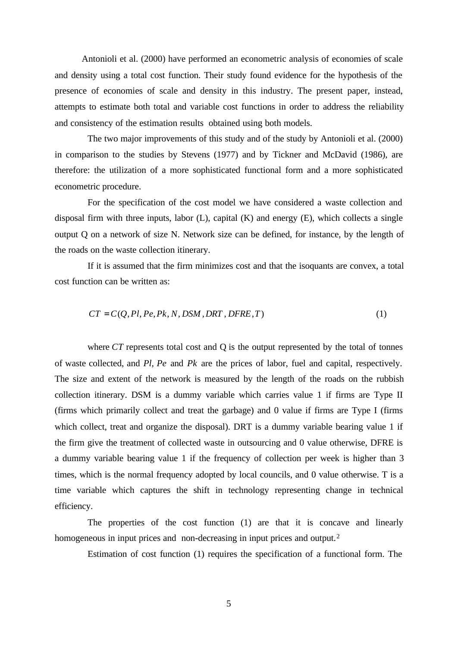Antonioli et al. (2000) have performed an econometric analysis of economies of scale and density using a total cost function. Their study found evidence for the hypothesis of the presence of economies of scale and density in this industry. The present paper, instead, attempts to estimate both total and variable cost functions in order to address the reliability and consistency of the estimation results obtained using both models.

The two major improvements of this study and of the study by Antonioli et al. (2000) in comparison to the studies by Stevens (1977) and by Tickner and McDavid (1986), are therefore: the utilization of a more sophisticated functional form and a more sophisticated econometric procedure.

For the specification of the cost model we have considered a waste collection and disposal firm with three inputs, labor (L), capital (K) and energy (E), which collects a single output Q on a network of size N. Network size can be defined, for instance, by the length of the roads on the waste collection itinerary.

If it is assumed that the firm minimizes cost and that the isoquants are convex, a total cost function can be written as:

$$
CT = C(Q, Pl, Pe, Pk, N, DSM, DRT, DFRE, T)
$$
\n<sup>(1)</sup>

where *CT* represents total cost and Q is the output represented by the total of tonnes of waste collected, and *Pl, Pe* and *Pk* are the prices of labor, fuel and capital, respectively. The size and extent of the network is measured by the length of the roads on the rubbish collection itinerary. DSM is a dummy variable which carries value 1 if firms are Type II (firms which primarily collect and treat the garbage) and 0 value if firms are Type I (firms which collect, treat and organize the disposal). DRT is a dummy variable bearing value 1 if the firm give the treatment of collected waste in outsourcing and 0 value otherwise, DFRE is a dummy variable bearing value 1 if the frequency of collection per week is higher than 3 times, which is the normal frequency adopted by local councils, and 0 value otherwise. T is a time variable which captures the shift in technology representing change in technical efficiency.

The properties of the cost function (1) are that it is concave and linearly homogeneous in input prices and non-decreasing in input prices and output.<sup>2</sup>

Estimation of cost function (1) requires the specification of a functional form. The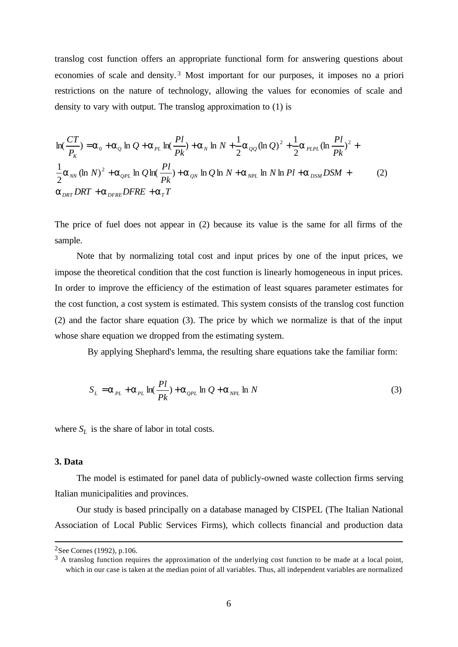translog cost function offers an appropriate functional form for answering questions about economies of scale and density. <sup>3</sup> Most important for our purposes, it imposes no a priori restrictions on the nature of technology, allowing the values for economies of scale and density to vary with output. The translog approximation to (1) is

$$
\ln\left(\frac{CT}{P_K}\right) = \mathbf{a}_0 + \mathbf{a}_Q \ln Q + \mathbf{a}_{PL} \ln\left(\frac{Pl}{P_K}\right) + \mathbf{a}_N \ln N + \frac{1}{2} \mathbf{a}_{QQ} (\ln Q)^2 + \frac{1}{2} \mathbf{a}_{PLPL} (\ln \frac{Pl}{P_K})^2 + \frac{1}{2} \mathbf{a}_{NN} (\ln N)^2 + \mathbf{a}_{QPL} \ln Q \ln \left(\frac{Pl}{P_K}\right) + \mathbf{a}_{QN} \ln Q \ln N + \mathbf{a}_{NPL} \ln N \ln Pl + \mathbf{a}_{DSM} DSM + \mathbf{a}_{DFR} DRT + \mathbf{a}_{DFRE} DFRE + \mathbf{a}_T T
$$
 (2)

The price of fuel does not appear in (2) because its value is the same for all firms of the sample.

Note that by normalizing total cost and input prices by one of the input prices, we impose the theoretical condition that the cost function is linearly homogeneous in input prices. In order to improve the efficiency of the estimation of least squares parameter estimates for the cost function, a cost system is estimated. This system consists of the translog cost function (2) and the factor share equation (3). The price by which we normalize is that of the input whose share equation we dropped from the estimating system.

By applying Shephard's lemma, the resulting share equations take the familiar form:

$$
S_L = \mathbf{a}_{PL} + \mathbf{a}_{PL} \ln(\frac{Pl}{Pk}) + \mathbf{a}_{QPL} \ln Q + \mathbf{a}_{NPL} \ln N
$$
 (3)

where  $S_L$  is the share of labor in total costs.

# **3. Data**

l

The model is estimated for panel data of publicly-owned waste collection firms serving Italian municipalities and provinces.

Our study is based principally on a database managed by CISPEL (The Italian National Association of Local Public Services Firms), which collects financial and production data

<sup>2</sup>See Cornes (1992), p.106.

<sup>&</sup>lt;sup>3</sup> A translog function requires the approximation of the underlying cost function to be made at a local point, which in our case is taken at the median point of all variables. Thus, all independent variables are normalized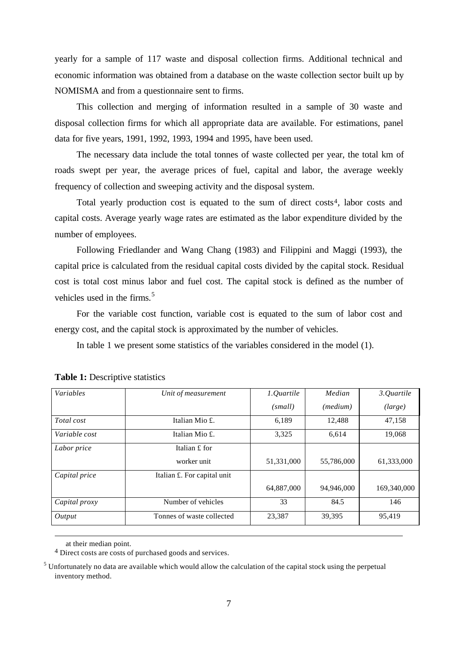yearly for a sample of 117 waste and disposal collection firms. Additional technical and economic information was obtained from a database on the waste collection sector built up by NOMISMA and from a questionnaire sent to firms.

This collection and merging of information resulted in a sample of 30 waste and disposal collection firms for which all appropriate data are available. For estimations, panel data for five years, 1991, 1992, 1993, 1994 and 1995, have been used.

The necessary data include the total tonnes of waste collected per year, the total km of roads swept per year, the average prices of fuel, capital and labor, the average weekly frequency of collection and sweeping activity and the disposal system.

Total yearly production cost is equated to the sum of direct costs<sup>4</sup>, labor costs and capital costs. Average yearly wage rates are estimated as the labor expenditure divided by the number of employees.

Following Friedlander and Wang Chang (1983) and Filippini and Maggi (1993), the capital price is calculated from the residual capital costs divided by the capital stock. Residual cost is total cost minus labor and fuel cost. The capital stock is defined as the number of vehicles used in the firms. $5$ 

For the variable cost function, variable cost is equated to the sum of labor cost and energy cost, and the capital stock is approximated by the number of vehicles.

In table 1 we present some statistics of the variables considered in the model (1).

| Variables     | Unit of measurement         | 1.Quartile | Median     | 3.Quartile  |
|---------------|-----------------------------|------------|------------|-------------|
|               |                             | (small)    | (medium)   | (large)     |
| Total cost    | Italian Mio £.              | 6,189      | 12,488     | 47,158      |
| Variable cost | Italian Mio £.              | 3.325      | 6,614      | 19,068      |
| Labor price   | Italian £ for               |            |            |             |
|               | worker unit                 | 51,331,000 | 55,786,000 | 61,333,000  |
| Capital price | Italian £. For capital unit |            |            |             |
|               |                             | 64,887,000 | 94,946,000 | 169,340,000 |
| Capital proxy | Number of vehicles          | 33         | 84.5       | 146         |
| Output        | Tonnes of waste collected   | 23,387     | 39,395     | 95,419      |

|  | Table 1: Descriptive statistics |  |
|--|---------------------------------|--|
|--|---------------------------------|--|

at their median point.

l

<sup>4</sup> Direct costs are costs of purchased goods and services.

 $<sup>5</sup>$  Unfortunately no data are available which would allow the calculation of the capital stock using the perpetual</sup> inventory method.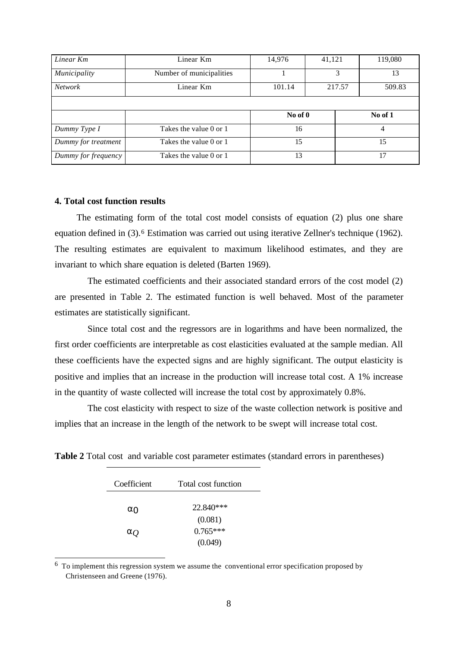| Linear Km           | Linear Km                | 14,976    | 41,121 |        | 119,080 |
|---------------------|--------------------------|-----------|--------|--------|---------|
| Municipality        | Number of municipalities |           |        | 3      | 13      |
| <b>Network</b>      | Linear Km                | 101.14    |        | 217.57 | 509.83  |
|                     |                          |           |        |        |         |
|                     |                          | No of $0$ |        |        | No of 1 |
| Dummy Type I        | Takes the value 0 or 1   | 16        |        |        | 4       |
| Dummy for treatment | Takes the value 0 or 1   | 15        |        |        |         |
|                     |                          |           |        |        | 15      |

# **4. Total cost function results**

l

The estimating form of the total cost model consists of equation (2) plus one share equation defined in (3).6 Estimation was carried out using iterative Zellner's technique (1962). The resulting estimates are equivalent to maximum likelihood estimates, and they are invariant to which share equation is deleted (Barten 1969).

The estimated coefficients and their associated standard errors of the cost model (2) are presented in Table 2. The estimated function is well behaved. Most of the parameter estimates are statistically significant.

Since total cost and the regressors are in logarithms and have been normalized, the first order coefficients are interpretable as cost elasticities evaluated at the sample median. All these coefficients have the expected signs and are highly significant. The output elasticity is positive and implies that an increase in the production will increase total cost. A 1% increase in the quantity of waste collected will increase the total cost by approximately 0.8%.

The cost elasticity with respect to size of the waste collection network is positive and implies that an increase in the length of the network to be swept will increase total cost.

| Coefficient | Total cost function   |
|-------------|-----------------------|
| an          | 22.840***             |
|             | (0.081)<br>$0.765***$ |
| $a_Q$       | (0.049)               |

**Table 2** Total cost and variable cost parameter estimates (standard errors in parentheses)

<sup>6</sup> To implement this regression system we assume the conventional error specification proposed by Christenseen and Greene (1976).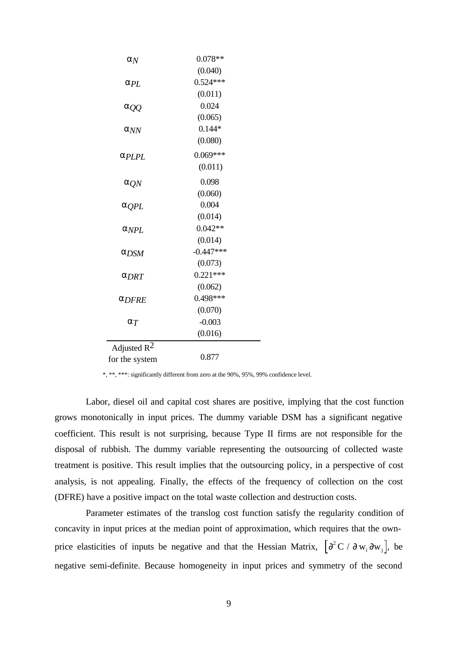| $a_N$                           | $0.078**$   |
|---------------------------------|-------------|
|                                 | (0.040)     |
| ap $\cal L$                     | $0.524***$  |
|                                 | (0.011)     |
| a $\varrho\varrho$              | 0.024       |
|                                 | (0.065)     |
| $\boldsymbol{a}_{NN}$           | $0.144*$    |
|                                 | (0.080)     |
| $a$ p $L$ p $L$                 | $0.069***$  |
|                                 | (0.011)     |
| $\boldsymbol{a}_{\mathcal{Q}N}$ | 0.098       |
|                                 | (0.060)     |
| $a_{QPL}$                       | 0.004       |
|                                 | (0.014)     |
| $a_{NPL}$                       | $0.042**$   |
|                                 | (0.014)     |
| $\bm{a}_{DSM}$                  | $-0.447***$ |
|                                 | (0.073)     |
| $\boldsymbol{a}_{DRT}$          | $0.221***$  |
|                                 | (0.062)     |
| adfre                           | $0.498***$  |
|                                 | (0.070)     |
| a $\scriptstyle T$              | $-0.003$    |
|                                 | (0.016)     |
| Adjusted $R^2$                  |             |
| for the system                  | 0.877       |

\*, \*\*, \*\*\*: significantly different from zero at the 90%, 95%, 99% confidence level.

Labor, diesel oil and capital cost shares are positive, implying that the cost function grows monotonically in input prices. The dummy variable DSM has a significant negative coefficient. This result is not surprising, because Type II firms are not responsible for the disposal of rubbish. The dummy variable representing the outsourcing of collected waste treatment is positive. This result implies that the outsourcing policy, in a perspective of cost analysis, is not appealing. Finally, the effects of the frequency of collection on the cost (DFRE) have a positive impact on the total waste collection and destruction costs.

Parameter estimates of the translog cost function satisfy the regularity condition of concavity in input prices at the median point of approximation, which requires that the ownprice elasticities of inputs be negative and that the Hessian Matrix,  $\left[\partial^2 C / \partial w_i \partial w_j\right]$ , be negative semi-definite. Because homogeneity in input prices and symmetry of the second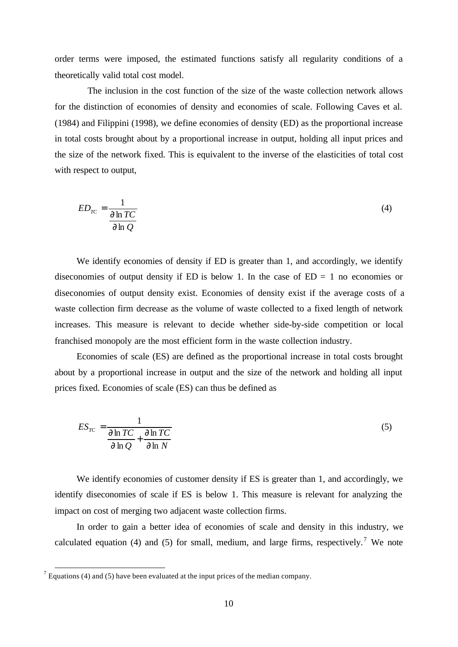order terms were imposed, the estimated functions satisfy all regularity conditions of a theoretically valid total cost model.

The inclusion in the cost function of the size of the waste collection network allows for the distinction of economies of density and economies of scale. Following Caves et al. (1984) and Filippini (1998), we define economies of density (ED) as the proportional increase in total costs brought about by a proportional increase in output, holding all input prices and the size of the network fixed. This is equivalent to the inverse of the elasticities of total cost with respect to output,

$$
ED_{TC} = \frac{1}{\frac{\partial \ln TC}{\partial \ln Q}}
$$
(4)

We identify economies of density if ED is greater than 1, and accordingly, we identify diseconomies of output density if ED is below 1. In the case of  $ED = 1$  no economies or diseconomies of output density exist. Economies of density exist if the average costs of a waste collection firm decrease as the volume of waste collected to a fixed length of network increases. This measure is relevant to decide whether side-by-side competition or local franchised monopoly are the most efficient form in the waste collection industry.

Economies of scale (ES) are defined as the proportional increase in total costs brought about by a proportional increase in output and the size of the network and holding all input prices fixed. Economies of scale (ES) can thus be defined as

$$
ES_{TC} = \frac{1}{\frac{\partial \ln TC}{\partial \ln Q} + \frac{\partial \ln TC}{\partial \ln N}}
$$
(5)

We identify economies of customer density if ES is greater than 1, and accordingly, we identify diseconomies of scale if ES is below 1. This measure is relevant for analyzing the impact on cost of merging two adjacent waste collection firms.

In order to gain a better idea of economies of scale and density in this industry, we calculated equation (4) and (5) for small, medium, and large firms, respectively.<sup>7</sup> We note

l

<sup>&</sup>lt;sup>7</sup> Equations (4) and (5) have been evaluated at the input prices of the median company.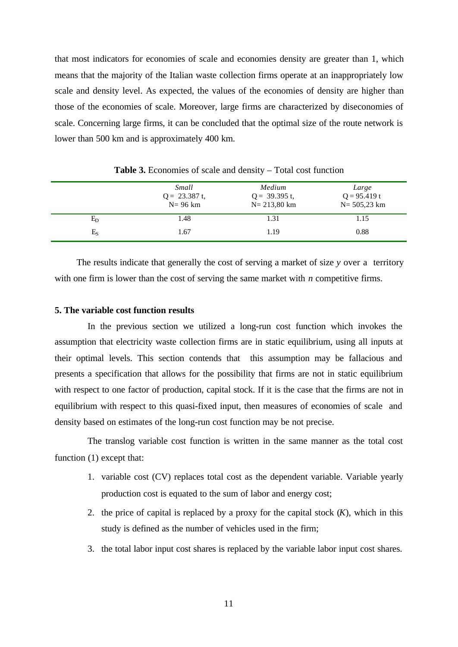that most indicators for economies of scale and economies density are greater than 1, which means that the majority of the Italian waste collection firms operate at an inappropriately low scale and density level. As expected, the values of the economies of density are higher than those of the economies of scale. Moreover, large firms are characterized by diseconomies of scale. Concerning large firms, it can be concluded that the optimal size of the route network is lower than 500 km and is approximately 400 km.

|       | Small<br>$Q = 23.387$ t,<br>$N=96$ km | Medium<br>$Q = 39.395$ t,<br>$N = 213,80$ km | Large<br>$Q = 95.419 t$<br>$N = 505,23$ km |
|-------|---------------------------------------|----------------------------------------------|--------------------------------------------|
| $E_D$ | 1.48                                  | 1.31                                         | 1.15                                       |
| Es    | 1.67                                  | 1.19                                         | 0.88                                       |

**Table 3.** Economies of scale and density – Total cost function

The results indicate that generally the cost of serving a market of size *y* over a territory with one firm is lower than the cost of serving the same market with *n* competitive firms.

# **5. The variable cost function results**

In the previous section we utilized a long-run cost function which invokes the assumption that electricity waste collection firms are in static equilibrium, using all inputs at their optimal levels. This section contends that this assumption may be fallacious and presents a specification that allows for the possibility that firms are not in static equilibrium with respect to one factor of production, capital stock. If it is the case that the firms are not in equilibrium with respect to this quasi-fixed input, then measures of economies of scale and density based on estimates of the long-run cost function may be not precise.

The translog variable cost function is written in the same manner as the total cost function (1) except that:

- 1. variable cost (CV) replaces total cost as the dependent variable. Variable yearly production cost is equated to the sum of labor and energy cost;
- 2. the price of capital is replaced by a proxy for the capital stock  $(K)$ , which in this study is defined as the number of vehicles used in the firm;
- 3. the total labor input cost shares is replaced by the variable labor input cost shares.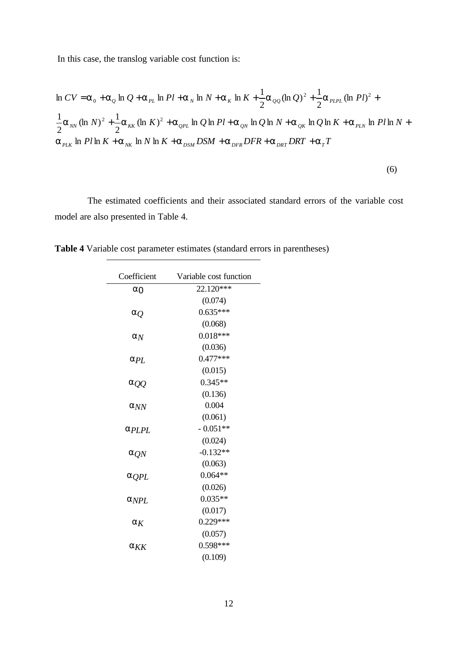In this case, the translog variable cost function is:

$$
\ln CV = \mathbf{a}_0 + \mathbf{a}_Q \ln Q + \mathbf{a}_{PL} \ln Pl + \mathbf{a}_N \ln N + \mathbf{a}_K \ln K + \frac{1}{2} \mathbf{a}_{QQ} (\ln Q)^2 + \frac{1}{2} \mathbf{a}_{PLPL} (\ln Pl)^2 + \frac{1}{2} \mathbf{a}_{NN} (\ln N)^2 + \frac{1}{2} \mathbf{a}_{KK} (\ln K)^2 + \mathbf{a}_{QPL} \ln Q \ln Pl + \mathbf{a}_{QN} \ln Q \ln N + \mathbf{a}_{OK} \ln Q \ln K + \mathbf{a}_{PLN} \ln Pl \ln N + \mathbf{a}_{PLK} \ln Pl \ln K + \mathbf{a}_{NS} \ln N \ln K + \mathbf{a}_{DSM} \ln SM + \mathbf{a}_{DFR} \ln PR + \mathbf{a}_{DRT} \ln RN
$$

(6)

The estimated coefficients and their associated standard errors of the variable cost model are also presented in Table 4.

**Table 4** Variable cost parameter estimates (standard errors in parentheses)

| Coefficient                                        | Variable cost function |
|----------------------------------------------------|------------------------|
| aŋ                                                 | 22.120***              |
|                                                    | (0.074)                |
| $\bm{a}\mathcal{Q}$                                | $0.635***$             |
|                                                    | (0.068)                |
| $a_N$                                              | $0.018***$             |
|                                                    | (0.036)                |
| ${\boldsymbol{a}}{\boldsymbol{p}}{\boldsymbol{L}}$ | $0.477***$             |
|                                                    | (0.015)                |
| $a_{Q\bar Q}$                                      | $0.345**$              |
|                                                    | (0.136)                |
| $\boldsymbol{a}_{NN}$                              | 0.004                  |
|                                                    | (0.061)                |
| apLPL                                              | $-0.051**$             |
|                                                    | (0.024)                |
| $a_{QN}$                                           | $-0.132**$             |
|                                                    | (0.063)                |
| $a_{QPL}$                                          | $0.064**$              |
|                                                    | (0.026)                |
| $a_{NPL}$                                          | $0.035**$              |
|                                                    | (0.017)                |
| aĸ                                                 | $0.229***$             |
|                                                    | (0.057)                |
| akk                                                | $0.598***$             |
|                                                    | (0.109)                |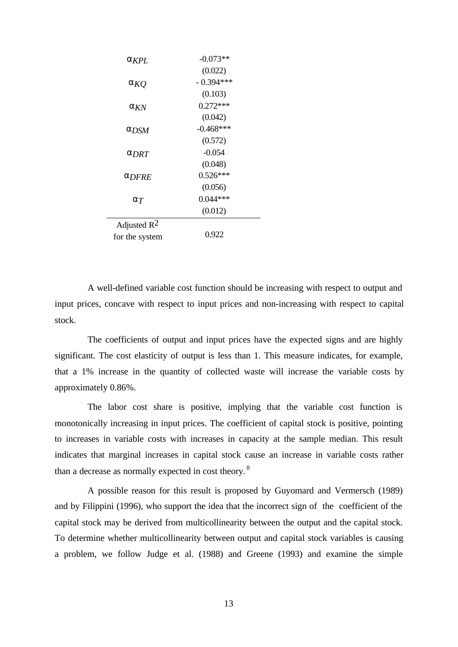| akpl              | $-0.073**$  |
|-------------------|-------------|
|                   | (0.022)     |
| $a_{\mathit{KQ}}$ | $-0.394***$ |
|                   | (0.103)     |
| akn               | $0.272***$  |
|                   | (0.042)     |
| apsm              | $-0.468***$ |
|                   | (0.572)     |
| $\bm{a}_{DRT}$    | -0.054      |
|                   | (0.048)     |
| adfre             | $0.526***$  |
|                   | (0.056)     |
| a $\tau$          | $0.044***$  |
|                   | (0.012)     |
| Adjusted $R^2$    |             |
| for the system    | 0.922       |

A well-defined variable cost function should be increasing with respect to output and input prices, concave with respect to input prices and non-increasing with respect to capital stock.

The coefficients of output and input prices have the expected signs and are highly significant. The cost elasticity of output is less than 1. This measure indicates, for example, that a 1% increase in the quantity of collected waste will increase the variable costs by approximately 0.86%.

The labor cost share is positive, implying that the variable cost function is monotonically increasing in input prices. The coefficient of capital stock is positive, pointing to increases in variable costs with increases in capacity at the sample median. This result indicates that marginal increases in capital stock cause an increase in variable costs rather than a decrease as normally expected in cost theory. <sup>8</sup>

A possible reason for this result is proposed by Guyomard and Vermersch (1989) and by Filippini (1996), who support the idea that the incorrect sign of the coefficient of the capital stock may be derived from multicollinearity between the output and the capital stock. To determine whether multicollinearity between output and capital stock variables is causing a problem, we follow Judge et al. (1988) and Greene (1993) and examine the simple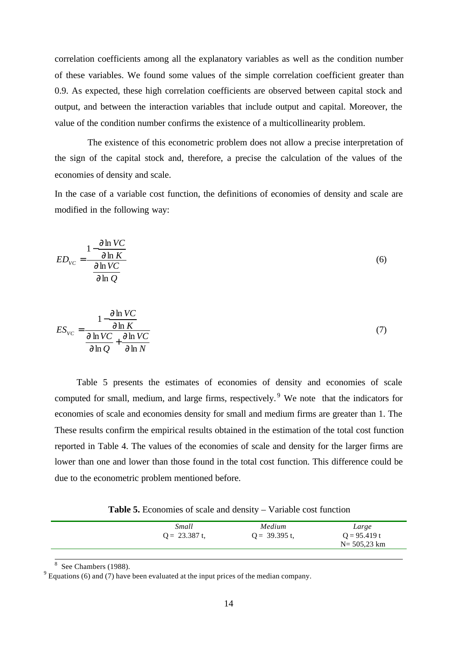correlation coefficients among all the explanatory variables as well as the condition number of these variables. We found some values of the simple correlation coefficient greater than 0.9. As expected, these high correlation coefficients are observed between capital stock and output, and between the interaction variables that include output and capital. Moreover, the value of the condition number confirms the existence of a multicollinearity problem.

The existence of this econometric problem does not allow a precise interpretation of the sign of the capital stock and, therefore, a precise the calculation of the values of the economies of density and scale.

In the case of a variable cost function, the definitions of economies of density and scale are modified in the following way:

$$
ED_{VC} = \frac{1 - \frac{\partial \ln VC}{\partial \ln K}}{\frac{\partial \ln VC}{\partial \ln Q}}
$$
(6)

$$
ES_{VC} = \frac{1 - \frac{\partial \ln VC}{\partial \ln K}}{\frac{\partial \ln VC}{\partial \ln Q} + \frac{\partial \ln VC}{\partial \ln N}}
$$
(7)

Table 5 presents the estimates of economies of density and economies of scale computed for small, medium, and large firms, respectively. <sup>9</sup> We note that the indicators for economies of scale and economies density for small and medium firms are greater than 1. The These results confirm the empirical results obtained in the estimation of the total cost function reported in Table 4. The values of the economies of scale and density for the larger firms are lower than one and lower than those found in the total cost function. This difference could be due to the econometric problem mentioned before.

**Table 5.** Economies of scale and density – Variable cost function

| Small           | Medium          | Large           |
|-----------------|-----------------|-----------------|
| $Q = 23.387$ t, | $Q = 39.395$ t, | $Q = 95.419 t$  |
|                 |                 | $N = 505,23$ km |
|                 |                 |                 |

8 See Chambers (1988).

l

 $9^9$  Equations (6) and (7) have been evaluated at the input prices of the median company.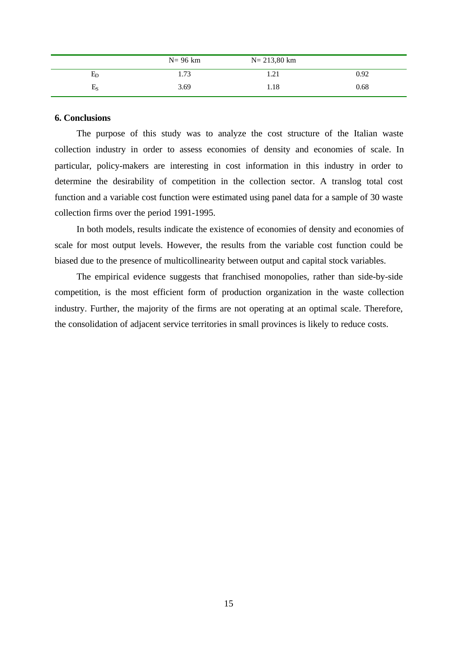|       | $N=96$ km | $N = 213,80$ km |      |
|-------|-----------|-----------------|------|
| Eŋ,   | 1.73      | 1.ZI            | 0.92 |
| $E_S$ | 3.69      | 1.18            | 0.68 |

# **6. Conclusions**

The purpose of this study was to analyze the cost structure of the Italian waste collection industry in order to assess economies of density and economies of scale. In particular, policy-makers are interesting in cost information in this industry in order to determine the desirability of competition in the collection sector. A translog total cost function and a variable cost function were estimated using panel data for a sample of 30 waste collection firms over the period 1991-1995.

In both models, results indicate the existence of economies of density and economies of scale for most output levels. However, the results from the variable cost function could be biased due to the presence of multicollinearity between output and capital stock variables.

The empirical evidence suggests that franchised monopolies, rather than side-by-side competition, is the most efficient form of production organization in the waste collection industry. Further, the majority of the firms are not operating at an optimal scale. Therefore, the consolidation of adjacent service territories in small provinces is likely to reduce costs.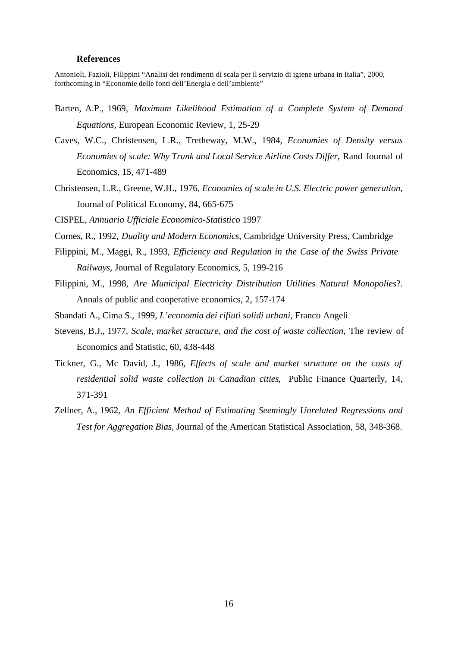# **References**

Antonioli, Fazioli, Filippini "Analisi dei rendimenti di scala per il servizio di igiene urbana in Italia", 2000, forthcoming in "Economie delle fonti dell'Energia e dell'ambiente"

- Barten, A.P., 1969, *Maximum Likelihood Estimation of a Complete System of Demand Equations*, European Economic Review, 1, 25-29
- Caves, W.C., Christensen, L.R., Tretheway, M.W., 1984, *Economies of Density versus Economies of scale: Why Trunk and Local Service Airline Costs Differ*, Rand Journal of Economics, 15, 471-489
- Christensen, L.R., Greene, W.H., 1976, *Economies of scale in U.S. Electric power generation*, Journal of Political Economy, 84, 665-675
- CISPEL, *Annuario Ufficiale Economico-Statistico* 1997
- Cornes, R., 1992, *Duality and Modern Economics*, Cambridge University Press, Cambridge
- Filippini, M., Maggi, R., 1993, *Efficiency and Regulation in the Case of the Swiss Private Railways*, Journal of Regulatory Economics, 5, 199-216
- Filippini, M., 1998, *Are Municipal Electricity Distribution Utilities Natural Monopolies*?. Annals of public and cooperative economics, 2, 157-174
- Sbandati A., Cima S., 1999, *L'economia dei rifiuti solidi urbani*, Franco Angeli
- Stevens, B.J., 1977, *Scale, market structure, and the cost of waste collection*, The review of Economics and Statistic, 60, 438-448
- Tickner, G., Mc David, J., 1986, *Effects of scale and market structure on the costs of residential solid waste collection in Canadian cities*, Public Finance Quarterly, 14, 371-391
- Zellner, A., 1962, *An Efficient Method of Estimating Seemingly Unrelated Regressions and Test for Aggregation Bias*, Journal of the American Statistical Association, 58, 348-368.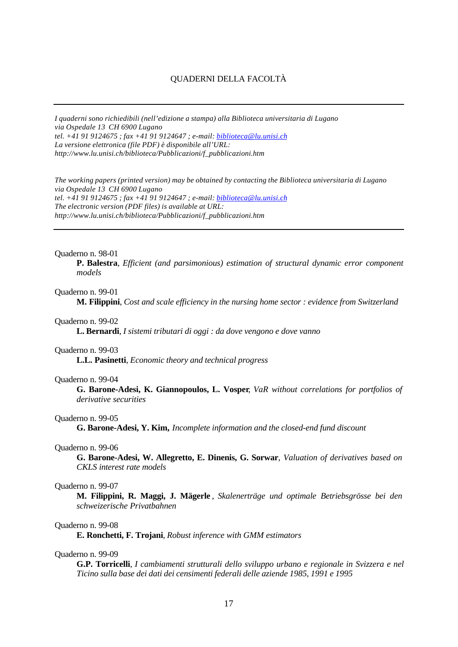### QUADERNI DELLA FACOLTÀ

*I quaderni sono richiedibili (nell'edizione a stampa) alla Biblioteca universitaria di Lugano via Ospedale 13 CH 6900 Lugano tel. +41 91 9124675 ; fax +41 91 9124647 ; e-mail: biblioteca@lu.unisi.ch La versione elettronica (file PDF) è disponibile all'URL: http://www.lu.unisi.ch/biblioteca/Pubblicazioni/f\_pubblicazioni.htm*

*The working papers (printed version) may be obtained by contacting the Biblioteca universitaria di Lugano via Ospedale 13 CH 6900 Lugano tel. +41 91 9124675 ; fax +41 91 9124647 ; e-mail: biblioteca@lu.unisi.ch The electronic version (PDF files) is available at URL: http://www.lu.unisi.ch/biblioteca/Pubblicazioni/f\_pubblicazioni.htm*

#### Quaderno n. 98-01

**P. Balestra**, *Efficient (and parsimonious) estimation of structural dynamic error component models*

# Quaderno n. 99-01

**M. Filippini**, *Cost and scale efficiency in the nursing home sector : evidence from Switzerland*

### Quaderno n. 99-02

**L. Bernardi**, *I sistemi tributari di oggi : da dove vengono e dove vanno*

#### Quaderno n. 99-03

**L.L. Pasinetti**, *Economic theory and technical progress*

#### Quaderno n. 99-04

**G. Barone-Adesi, K. Giannopoulos, L. Vosper**, *VaR without correlations for portfolios of derivative securities*

#### Quaderno n. 99-05

**G. Barone-Adesi, Y. Kim,** *Incomplete information and the closed-end fund discount*

#### Quaderno n. 99-06

**G. Barone-Adesi, W. Allegretto, E. Dinenis, G. Sorwar**, *Valuation of derivatives based on CKLS interest rate models*

### Quaderno n. 99-07

**M. Filippini, R. Maggi, J. Mägerle** , *Skalenerträge und optimale Betriebsgrösse bei den schweizerische Privatbahnen*

#### Quaderno n. 99-08

**E. Ronchetti, F. Trojani**, *Robust inference with GMM estimators*

#### Quaderno n. 99-09

**G.P. Torricelli**, *I cambiamenti strutturali dello sviluppo urbano e regionale in Svizzera e nel Ticino sulla base dei dati dei censimenti federali delle aziende 1985, 1991 e 1995*